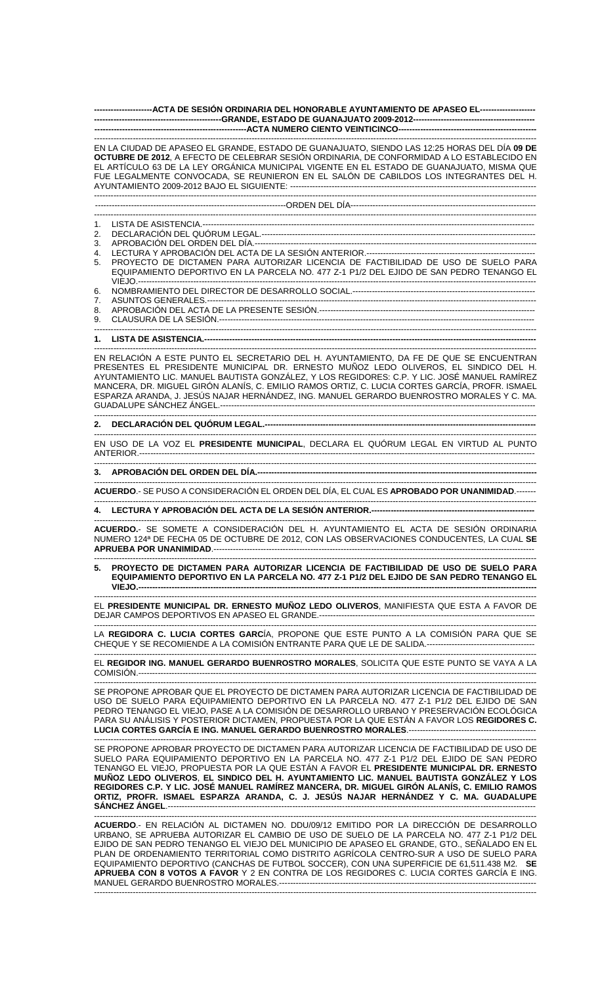**---------------------ACTA DE SESIÓN ORDINARIA DEL HONORABLE AYUNTAMIENTO DE APASEO EL-------------------- ----------------------------------------------GRANDE, ESTADO DE GUANAJUATO 2009-2012--------------------------------------------**  --ACTA NUMERO CIENTO VEINTICINCO------------------------------------------------------------------------------------------------------------------------------------------------------------------ EN LA CIUDAD DE APASEO EL GRANDE, ESTADO DE GUANAJUATO, SIENDO LAS 12:25 HORAS DEL DÍA **09 DE OCTUBRE DE 2012**, A EFECTO DE CELEBRAR SESIÓN ORDINARIA, DE CONFORMIDAD A LO ESTABLECIDO EN EL ARTÍCULO 63 DE LA LEY ORGÁNICA MUNICIPAL VIGENTE EN EL ESTADO DE GUANAJUATO, MISMA QUE FUE LEGALMENTE CONVOCADA, SE REUNIERON EN EL SALÓN DE CABILDOS LOS INTEGRANTES DEL H. AYUNTAMIENTO 2009-2012 BAJO EL SIGUIENTE: --------------------------------------------------------------------------------------------------------------------------------------------------------------------- ---------------------------------------------------------------------ORDEN DEL DÍA------------------------------------------------------------------- ---------------------------------------------------------------------------------------------------------------------------------------------------------------- 1. LISTA DE ASISTENCIA.----2. DECLARACIÓN DEL QUÓRUM LEGAL.--------------------------------------------------------------------------------------------------- 3. APROBACIÓN DEL ORDEN DEL DÍA.------------------------------------------------------------------------------------------------------ 4. LECTURA Y APROBACIÓN DEL ACTA DE LA SESIÓN ANTERIOR.-------------------------<br>5. PROYECTO DE DICTAMEN PARA AUTORIZAR LICENCIA DE FACTIBILIDAD DE 5. PROYECTO DE DICTAMEN PARA AUTORIZAR LICENCIA DE FACTIBILIDAD DE USO DE SUELO PARA EQUIPAMIENTO DEPORTIVO EN LA PARCELA NO. 477 Z-1 P1/2 DEL EJIDO DE SAN PEDRO TENANGO EL VIEJO.------------------------------------------------------------------------------------------------------------------------------------------------ 6. NOMBRAMIENTO DEL DIRECTOR DE DESARROLLO SOCIAL.------------------------------------------------------------------ 7. ASUNTOS GENERALES.----------------------------------------------------------------------------------------------------------------------- 8. APROBACIÓN DEL ACTA DE LA PRESENTE SESIÓN.------------------------------------------------------------------------------ 9. CLAUSURA DE LA SESIÓN.------------------------------------------------------------------------------------------------------------------ ---------------------------------------------------------------------------------------------------------------------------------------------------------------- 1. LISTA DE ASISTENCIA.------------------------------------------------------------------------------------------------------------------------------------------------------------------ EN RELACIÓN A ESTE PUNTO EL SECRETARIO DEL H. AYUNTAMIENTO, DA FE DE QUE SE ENCUENTRAN PRESENTES EL PRESIDENTE MUNICIPAL DR. ERNESTO MUÑOZ LEDO OLIVEROS, EL SINDICO DEL H. AYUNTAMIENTO LIC. MANUEL BAUTISTA GONZÁLEZ, Y LOS REGIDORES: C.P. Y LIC. JOSÉ MANUEL RAMÍREZ MANCERA, DR. MIGUEL GIRÓN ALANÍS, C. EMILIO RAMOS ORTIZ, C. LUCIA CORTES GARCÍA, PROFR. ISMAEL ESPARZA ARANDA, J. JESÚS NAJAR HERNÁNDEZ, ING. MANUEL GERARDO BUENROSTRO MORALES Y C. MA. GUADALUPE SÁNCHEZ ÁNGEL.----------------------------------------------------------------------------------------------------------------------------------------------------------------------------------------- 2. DECLARACIÓN DEL QUÓRUM LEGAL.-------------------------------------------------------------------------------------------------------------------------------------------------------------------- EN USO DE LA VOZ EL **PRESIDENTE MUNICIPAL**, DECLARA EL QUÓRUM LEGAL EN VIRTUD AL PUNTO ANTERIOR.----------------------------------------------------------------------------------------------------------------------------------------------- ---------------------------------------------------------------------------------------------------------------------------------------------------------------- **3. APROBACIÓN DEL ORDEN DEL DÍA.-----------------------------------------------------------------------------------------------------**  ---------------------------------------------------------------------------------------------------------------------------------------------------------------- **ACUERDO**.- SE PUSO A CONSIDERACIÓN EL ORDEN DEL DÍA, EL CUAL ES **APROBADO POR UNANIMIDAD**.------- ---------------------------------------------------------------------------------------------------------------------------------------------------------------- **4. LECTURA Y APROBACIÓN DEL ACTA DE LA SESIÓN ANTERIOR.-----------------------------------------------------------**  ---------------------------------------------------------------------------------------------------------------------------------------------------------------- **ACUERDO.**- SE SOMETE A CONSIDERACIÓN DEL H. AYUNTAMIENTO EL ACTA DE SESIÓN ORDINARIA NUMERO 124ª DE FECHA 05 DE OCTUBRE DE 2012, CON LAS OBSERVACIONES CONDUCENTES, LA CUAL **SE APRUEBA POR UNANIMIDAD**.-------------------------------------------------------------------------------------------------------------------- ---------------------------------------------------------------------------------------------------------------------------------------------------------------- **5. PROYECTO DE DICTAMEN PARA AUTORIZAR LICENCIA DE FACTIBILIDAD DE USO DE SUELO PARA EQUIPAMIENTO DEPORTIVO EN LA PARCELA NO. 477 Z-1 P1/2 DEL EJIDO DE SAN PEDRO TENANGO EL VIEJO.------------------------------------------------------------------------------------------------------------------------------------------------**  ---------------------------------------------------------------------------------------------------------------------------------------------------------------- EL **PRESIDENTE MUNICIPAL DR. ERNESTO MUÑOZ LEDO OLIVEROS**, MANIFIESTA QUE ESTA A FAVOR DE DEJAR CAMPOS DEPORTIVOS EN APASEO EL GRANDE.-------------------------------------------------------------------------------------------------------------------------------------------------------------------------------------- LA **REGIDORA C. LUCIA CORTES GARC**ÍA, PROPONE QUE ESTE PUNTO A LA COMISIÓN PARA QUE SE CHEQUE Y SE RECOMIENDE A LA COMISIÓN ENTRANTE PARA QUE LE DE SALIDA.--------------------------------------- ---------------------------------------------------------------------------------------------------------------------------------------------------------------- EL **REGIDOR ING. MANUEL GERARDO BUENROSTRO MORALES**, SOLICITA QUE ESTE PUNTO SE VAYA A LA COMISIÓN.------------------------------------------------------------------------------------------------------------------------------------------------ ---------------------------------------------------------------------------------------------------------------------------------------------------------------- SE PROPONE APROBAR QUE EL PROYECTO DE DICTAMEN PARA AUTORIZAR LICENCIA DE FACTIBILIDAD DE USO DE SUELO PARA EQUIPAMIENTO DEPORTIVO EN LA PARCELA NO. 477 Z-1 P1/2 DEL EJIDO DE SAN PEDRO TENANGO EL VIEJO, PASE A LA COMISIÓN DE DESARROLLO URBANO Y PRESERVACIÓN ECOLÓGICA PARA SU ANÁLISIS Y POSTERIOR DICTAMEN, PROPUESTA POR LA QUE ESTÁN A FAVOR LOS **REGIDORES C. LUCIA CORTES GARCÍA E ING. MANUEL GERARDO BUENROSTRO MORALES**.---------------------------------------------- ---------------------------------------------------------------------------------------------------------------------------------------------------------------- SE PROPONE APROBAR PROYECTO DE DICTAMEN PARA AUTORIZAR LICENCIA DE FACTIBILIDAD DE USO DE SUELO PARA EQUIPAMIENTO DEPORTIVO EN LA PARCELA NO. 477 Z-1 P1/2 DEL EJIDO DE SAN PEDRO TENANGO EL VIEJO, PROPUESTA POR LA QUE ESTÁN A FAVOR EL **PRESIDENTE MUNICIPAL DR. ERNESTO MUÑOZ LEDO OLIVEROS**, **EL SINDICO DEL H. AYUNTAMIENTO LIC. MANUEL BAUTISTA GONZÁLEZ Y LOS REGIDORES C.P. Y LIC. JOSÉ MANUEL RAMÍREZ MANCERA, DR. MIGUEL GIRÓN ALANÍS, C. EMILIO RAMOS ORTIZ, PROFR. ISMAEL ESPARZA ARANDA, C. J. JESÚS NAJAR HERNÁNDEZ Y C. MA. GUADALUPE SÁNCHEZ ÁNGEL.-**---------------------------------------------------------------------------------------------------------------------------------------------------------------- **ACUERDO**.- EN RELACIÓN AL DICTAMEN NO. DDU/09/12 EMITIDO POR LA DIRECCIÓN DE DESARROLLO URBANO, SE APRUEBA AUTORIZAR EL CAMBIO DE USO DE SUELO DE LA PARCELA NO. 477 Z-1 P1/2 DEL

EJIDO DE SAN PEDRO TENANGO EL VIEJO DEL MUNICIPIO DE APASEO EL GRANDE, GTO., SEÑALADO EN EL PLAN DE ORDENAMIENTO TERRITORIAL COMO DISTRITO AGRÍCOLA CENTRO-SUR A USO DE SUELO PARA EQUIPAMIENTO DEPORTIVO (CANCHAS DE FUTBOL SOCCER), CON UNA SUPERFICIE DE 61,511.438 M2. **SE APRUEBA CON 8 VOTOS A FAVOR** Y 2 EN CONTRA DE LOS REGIDORES C. LUCIA CORTES GARCÍA E ING. MANUEL GERARDO BUENROSTRO MORALES.----------------------------------------------------------------------------------------------------------------------------------------------------------------------------------